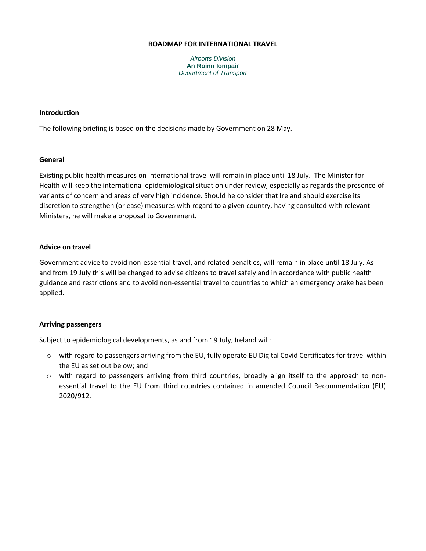#### **ROADMAP FOR INTERNATIONAL TRAVEL**

*Airports Division* **An Roinn Iompair** *Department of Transport*

## **Introduction**

The following briefing is based on the decisions made by Government on 28 May.

### **General**

Existing public health measures on international travel will remain in place until 18 July. The Minister for Health will keep the international epidemiological situation under review, especially as regards the presence of variants of concern and areas of very high incidence. Should he consider that Ireland should exercise its discretion to strengthen (or ease) measures with regard to a given country, having consulted with relevant Ministers, he will make a proposal to Government.

# **Advice on travel**

Government advice to avoid non-essential travel, and related penalties, will remain in place until 18 July. As and from 19 July this will be changed to advise citizens to travel safely and in accordance with public health guidance and restrictions and to avoid non-essential travel to countries to which an emergency brake has been applied.

# **Arriving passengers**

Subject to epidemiological developments, as and from 19 July, Ireland will:

- o with regard to passengers arriving from the EU, fully operate EU Digital Covid Certificates for travel within the EU as set out below; and
- $\circ$  with regard to passengers arriving from third countries, broadly align itself to the approach to nonessential travel to the EU from third countries contained in amended Council Recommendation (EU) 2020/912.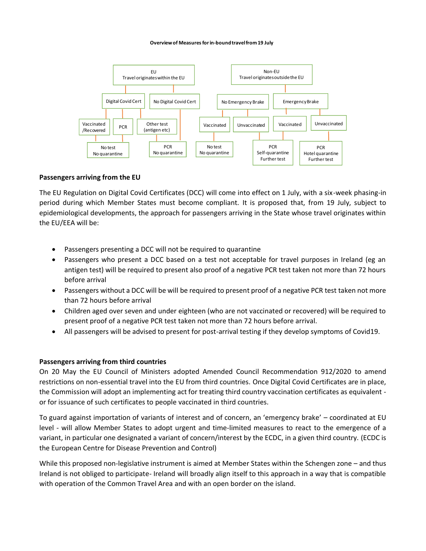#### **Overview of Measures for in-bound travel from 19 July**



#### **Passengers arriving from the EU**

The EU Regulation on Digital Covid Certificates (DCC) will come into effect on 1 July, with a six-week phasing-in period during which Member States must become compliant. It is proposed that, from 19 July, subject to epidemiological developments, the approach for passengers arriving in the State whose travel originates within the EU/EEA will be:

- Passengers presenting a DCC will not be required to quarantine
- Passengers who present a DCC based on a test not acceptable for travel purposes in Ireland (eg an antigen test) will be required to present also proof of a negative PCR test taken not more than 72 hours before arrival
- Passengers without a DCC will be will be required to present proof of a negative PCR test taken not more than 72 hours before arrival
- Children aged over seven and under eighteen (who are not vaccinated or recovered) will be required to present proof of a negative PCR test taken not more than 72 hours before arrival.
- All passengers will be advised to present for post-arrival testing if they develop symptoms of Covid19.

#### **Passengers arriving from third countries**

On 20 May the EU Council of Ministers adopted Amended Council Recommendation 912/2020 to amend restrictions on non-essential travel into the EU from third countries. Once Digital Covid Certificates are in place, the Commission will adopt an implementing act for treating third country vaccination certificates as equivalent or for issuance of such certificates to people vaccinated in third countries.

To guard against importation of variants of interest and of concern, an 'emergency brake' – coordinated at EU level - will allow Member States to adopt urgent and time-limited measures to react to the emergence of a variant, in particular one designated a variant of concern/interest by the ECDC, in a given third country. (ECDC is the European Centre for Disease Prevention and Control)

While this proposed non-legislative instrument is aimed at Member States within the Schengen zone – and thus Ireland is not obliged to participate- Ireland will broadly align itself to this approach in a way that is compatible with operation of the Common Travel Area and with an open border on the island.